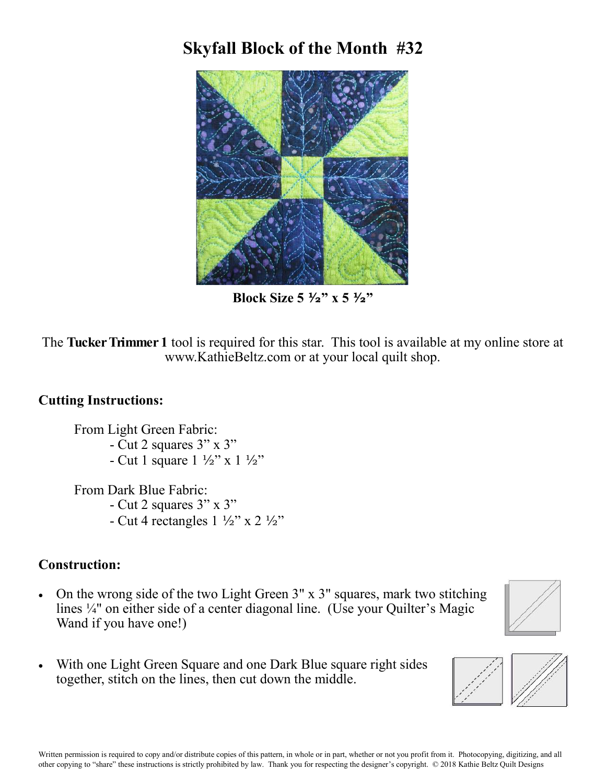## **Skyfall Block of the Month #32**



**Block Size 5 ½" x 5 ½"**

The **Tucker Trimmer 1** tool is required for this star. This tool is available at my online store at www.KathieBeltz.com or at your local quilt shop.

## **Cutting Instructions:**

From Light Green Fabric: - Cut 2 squares 3" x 3" - Cut 1 square 1 ½" x 1 ½"

From Dark Blue Fabric: - Cut 2 squares 3" x 3" - Cut 4 rectangles  $1 \frac{1}{2}$ " x 2  $\frac{1}{2}$ "

## **Construction:**

 On the wrong side of the two Light Green 3" x 3" squares, mark two stitching lines ¼" on either side of a center diagonal line. (Use your Quilter's Magic Wand if you have one!)



 With one Light Green Square and one Dark Blue square right sides together, stitch on the lines, then cut down the middle.

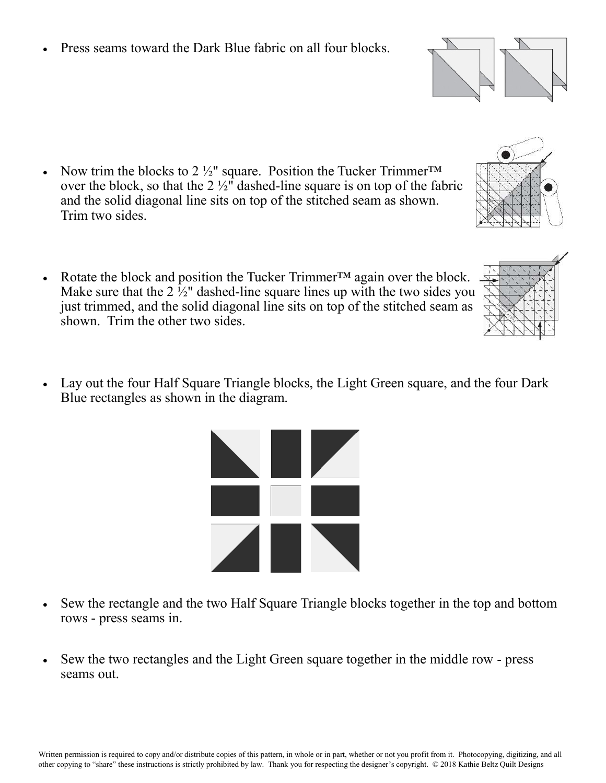Press seams toward the Dark Blue fabric on all four blocks.

- Now trim the blocks to 2  $\frac{1}{2}$ " square. Position the Tucker Trimmer<sup>TM</sup> over the block, so that the  $2\frac{1}{2}$ " dashed-line square is on top of the fabric and the solid diagonal line sits on top of the stitched seam as shown. Trim two sides.
- Rotate the block and position the Tucker Trimmer<sup>™</sup> again over the block. Make sure that the  $2 \frac{1}{2}$ " dashed-line square lines up with the two sides you just trimmed, and the solid diagonal line sits on top of the stitched seam as shown. Trim the other two sides.
- Lay out the four Half Square Triangle blocks, the Light Green square, and the four Dark Blue rectangles as shown in the diagram.

- Sew the rectangle and the two Half Square Triangle blocks together in the top and bottom rows - press seams in.
- Sew the two rectangles and the Light Green square together in the middle row press seams out.